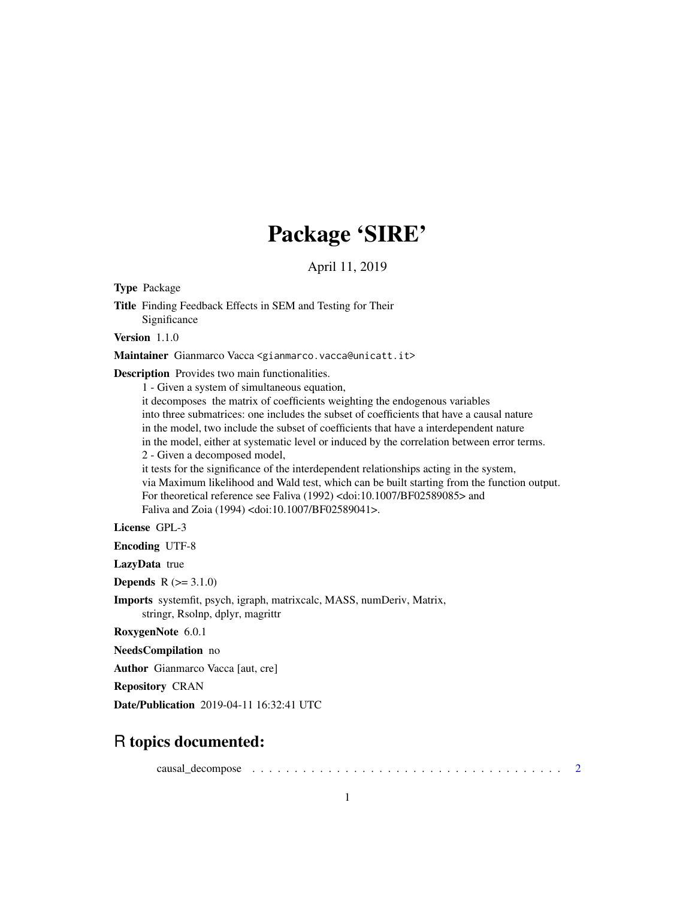# Package 'SIRE'

April 11, 2019

Type Package

Title Finding Feedback Effects in SEM and Testing for Their Significance

Version 1.1.0

Maintainer Gianmarco Vacca <gianmarco.vacca@unicatt.it>

Description Provides two main functionalities.

1 - Given a system of simultaneous equation,

it decomposes the matrix of coefficients weighting the endogenous variables into three submatrices: one includes the subset of coefficients that have a causal nature in the model, two include the subset of coefficients that have a interdependent nature in the model, either at systematic level or induced by the correlation between error terms. 2 - Given a decomposed model, it tests for the significance of the interdependent relationships acting in the system,

via Maximum likelihood and Wald test, which can be built starting from the function output. For theoretical reference see Faliva (1992) <doi:10.1007/BF02589085> and Faliva and Zoia (1994) <doi:10.1007/BF02589041>.

License GPL-3

Encoding UTF-8

LazyData true

**Depends**  $R (= 3.1.0)$ 

Imports systemfit, psych, igraph, matrixcalc, MASS, numDeriv, Matrix, stringr, Rsolnp, dplyr, magrittr

RoxygenNote 6.0.1

NeedsCompilation no

Author Gianmarco Vacca [aut, cre]

Repository CRAN

Date/Publication 2019-04-11 16:32:41 UTC

# R topics documented:

causal\_decompose . . . . . . . . . . . . . . . . . . . . . . . . . . . . . . . . . . . . . [2](#page-1-0)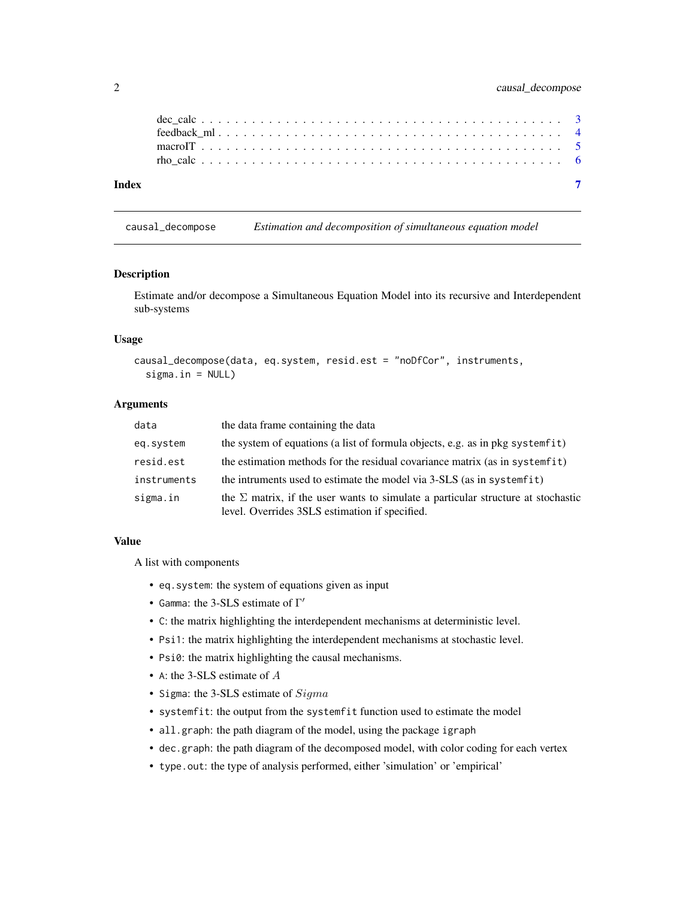<span id="page-1-0"></span>

| Index |  |  |  |  |  |  |  |  |  |  |  |  |  |  |  |  |  |  |  |  |  |
|-------|--|--|--|--|--|--|--|--|--|--|--|--|--|--|--|--|--|--|--|--|--|

#### causal\_decompose *Estimation and decomposition of simultaneous equation model*

#### Description

Estimate and/or decompose a Simultaneous Equation Model into its recursive and Interdependent sub-systems

#### Usage

```
causal_decompose(data, eq.system, resid.est = "noDfCor", instruments,
  sigma.in = NULL)
```
#### Arguments

| data        | the data frame containing the data                                                                                                        |
|-------------|-------------------------------------------------------------------------------------------------------------------------------------------|
| eq.system   | the system of equations (a list of formula objects, e.g. as in pkg system fit)                                                            |
| resid.est   | the estimation methods for the residual covariance matrix (as in systemfit)                                                               |
| instruments | the intruments used to estimate the model via 3-SLS (as in systemfit)                                                                     |
| sigma.in    | the $\Sigma$ matrix, if the user wants to simulate a particular structure at stochastic<br>level. Overrides 3SLS estimation if specified. |

#### Value

A list with components

- eq.system: the system of equations given as input
- Gamma: the 3-SLS estimate of  $\Gamma'$
- C: the matrix highlighting the interdependent mechanisms at deterministic level.
- Psi1: the matrix highlighting the interdependent mechanisms at stochastic level.
- Psi0: the matrix highlighting the causal mechanisms.
- A: the 3-SLS estimate of A
- Sigma: the 3-SLS estimate of Sigma
- systemfit: the output from the systemfit function used to estimate the model
- all.graph: the path diagram of the model, using the package igraph
- dec.graph: the path diagram of the decomposed model, with color coding for each vertex
- type.out: the type of analysis performed, either 'simulation' or 'empirical'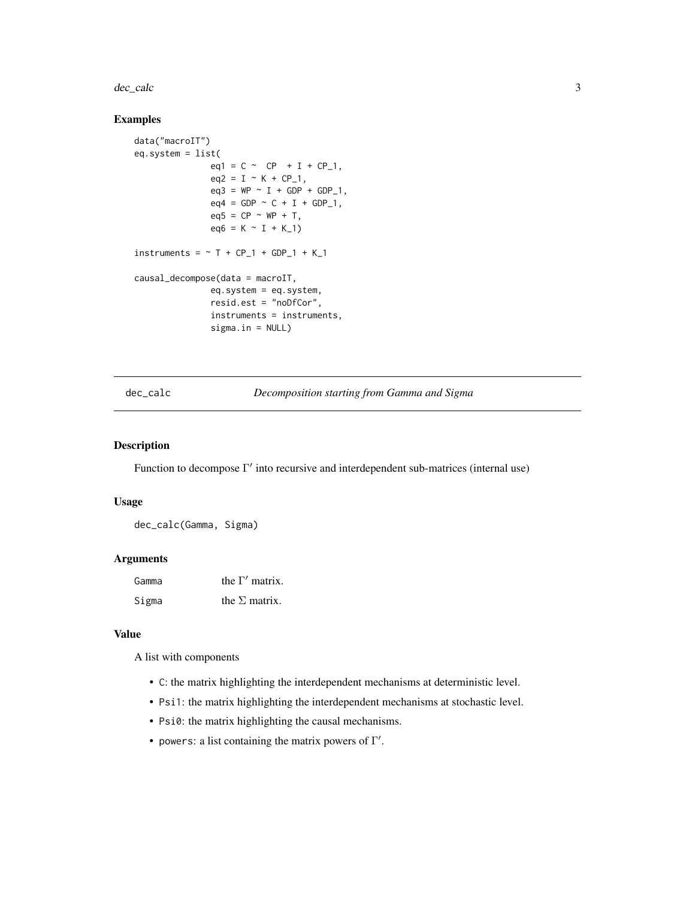<span id="page-2-0"></span>dec\_calc 3

#### Examples

```
data("macroIT")
eq.system = list(
                eq1 = C \sim CP + I + CP_1,eq2 = I - K + CP_1,
               eq3 = WP \sim I + GDP + GDP_{1},
                eq4 = GDP \sim C + I + GDP_1,
               eq5 = CP ~ WPP + T,eq6 = K \sim I + K_1)instruments = \sim T + CP_1 + GDP_1 + K_1
causal_decompose(data = macroIT,
               eq.system = eq.system,
               resid.est = "noDfCor",
               instruments = instruments,
               sigma.in = NULL)
```
dec\_calc *Decomposition starting from Gamma and Sigma*

#### Description

Function to decompose  $\Gamma'$  into recursive and interdependent sub-matrices (internal use)

#### Usage

dec\_calc(Gamma, Sigma)

#### Arguments

| Gamma | the $\Gamma'$ matrix. |
|-------|-----------------------|
| Sigma | the $\Sigma$ matrix.  |

#### Value

A list with components

- C: the matrix highlighting the interdependent mechanisms at deterministic level.
- Psi1: the matrix highlighting the interdependent mechanisms at stochastic level.
- Psi0: the matrix highlighting the causal mechanisms.
- powers: a list containing the matrix powers of  $\Gamma'$ .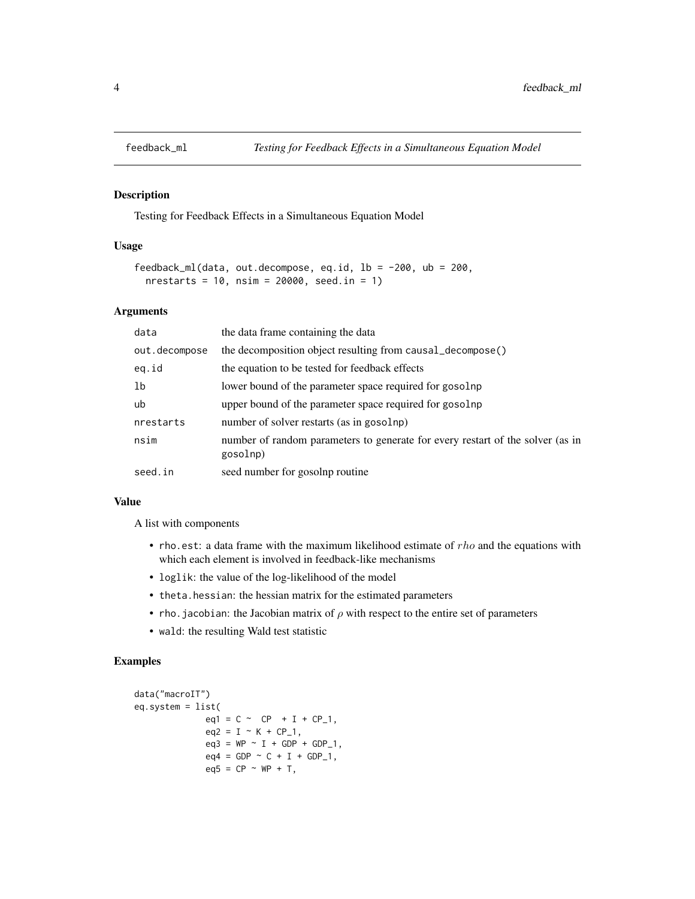<span id="page-3-0"></span>

## Description

Testing for Feedback Effects in a Simultaneous Equation Model

#### Usage

```
feedback_ml(data, out.decompose, eq.id, lb = -200, ub = 200,
  nrestarts = 10, nsim = 20000, seed.in = 1)
```
#### Arguments

| data          | the data frame containing the data                                                         |
|---------------|--------------------------------------------------------------------------------------------|
| out.decompose | the decomposition object resulting from causal_decompose()                                 |
| eq.id         | the equation to be tested for feedback effects                                             |
| 1b            | lower bound of the parameter space required for gosolnp                                    |
| ub            | upper bound of the parameter space required for gosolnp                                    |
| nrestarts     | number of solver restarts (as in gosolnp)                                                  |
| nsim          | number of random parameters to generate for every restart of the solver (as in<br>gosolnp) |
| seed.in       | seed number for gosolnp routine                                                            |

#### Value

A list with components

- rho.est: a data frame with the maximum likelihood estimate of  $rho$  and the equations with which each element is involved in feedback-like mechanisms
- loglik: the value of the log-likelihood of the model
- theta.hessian: the hessian matrix for the estimated parameters
- rho. jacobian: the Jacobian matrix of  $\rho$  with respect to the entire set of parameters
- wald: the resulting Wald test statistic

# Examples

```
data("macroIT")
eq.system = list(
              eq1 = C \sim CP + I + CP_1,eq2 = I ~ K + CP_1,eq3 = WP \sim I + GDP + GDP_{1},
              eq4 = GDP \sim C + I + GDP_1,
              eq5 = CP ~ WPP + T,
```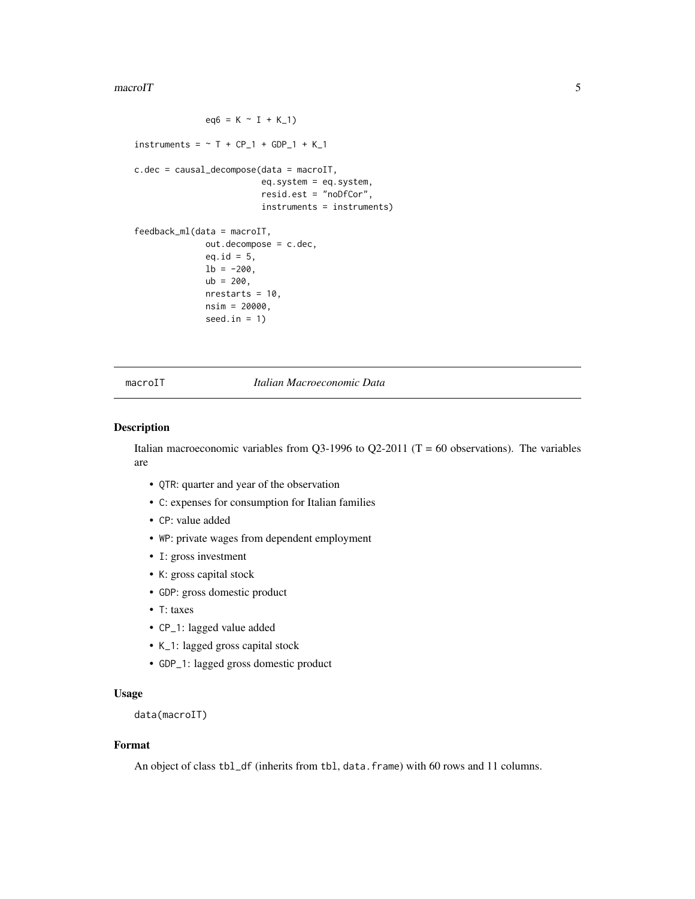#### <span id="page-4-0"></span> $\frac{1}{5}$  macroIT

```
eq6 = K \sim I + K_1instruments = \sim T + CP_1 + GDP_1 + K_1
c.dec = causal_decompose(data = macroIT,
                         eq.system = eq.system,
                         resid.est = "noDfCor",
                         instruments = instruments)
feedback_ml(data = macroIT,
              out.decompose = c.dec,
              eq.id = 5,
              1b = -200,
              ub = 200,nrestarts = 10,
              nsim = 20000,
              seed.in = 1)
```
#### macroIT *Italian Macroeconomic Data*

#### Description

Italian macroeconomic variables from Q3-1996 to Q2-2011 ( $T = 60$  observations). The variables are

- QTR: quarter and year of the observation
- C: expenses for consumption for Italian families
- CP: value added
- WP: private wages from dependent employment
- I: gross investment
- K: gross capital stock
- GDP: gross domestic product
- T: taxes
- CP\_1: lagged value added
- K\_1: lagged gross capital stock
- GDP\_1: lagged gross domestic product

# Usage

```
data(macroIT)
```
# Format

An object of class tbl\_df (inherits from tbl, data.frame) with 60 rows and 11 columns.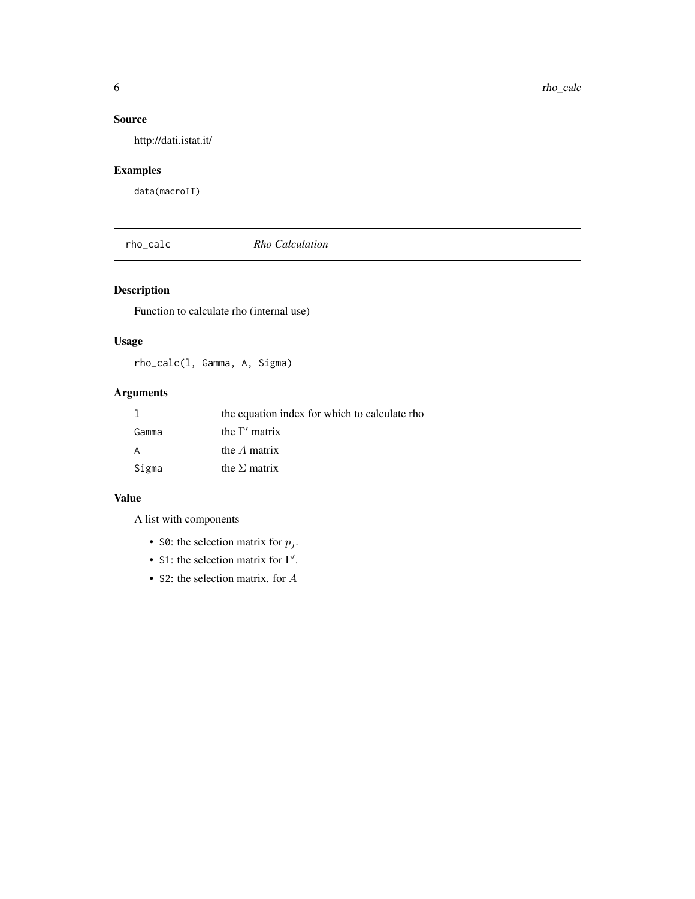# <span id="page-5-0"></span>Source

http://dati.istat.it/

# Examples

data(macroIT)

rho\_calc *Rho Calculation*

# Description

Function to calculate rho (internal use)

## Usage

rho\_calc(l, Gamma, A, Sigma)

# Arguments

|       | the equation index for which to calculate rho |
|-------|-----------------------------------------------|
| Gamma | the $\Gamma'$ matrix                          |
| A     | the $A$ matrix                                |
| Sigma | the $\Sigma$ matrix                           |

#### Value

A list with components

- S0: the selection matrix for  $p_j$ .
- S1: the selection matrix for  $\Gamma'$ .
- S2: the selection matrix. for A